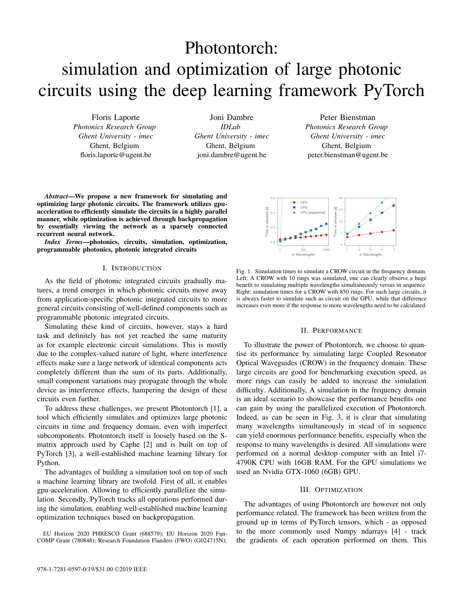# Photontorch: simulation and optimization of large photonic circuits using the deep learning framework PyTorch

Floris Laporte *Photonics Research Group Ghent University - imec* Ghent, Belgium floris.laporte@ugent.be

Joni Dambre *IDLab Ghent University - imec* Ghent, Belgium joni.dambre@ugent.be

Peter Bienstman *Photonics Research Group Ghent University - imec* Ghent, Belgium peter.bienstman@ugent.be

*Abstract*—We propose a new framework for simulating and optimizing large photonic circuits. The framework utilizes gpuacceleration to efficiently simulate the circuits in a highly parallel manner, while optimization is achieved through backpropagation by essentially viewing the network as a sparsely connected recurrent neural network.

*Index Terms*—photonics, circuits, simulation, optimization, programmable photonics, photonic integrated circuits

# I. INTRODUCTION

As the field of photonic integrated circuits gradually matures, a trend emerges in which photonic circuits move away from application-specific photonic integrated circuits to more general circuits consisting of well-defined components such as programmable photonic integrated circuits.

Simulating these kind of circuits, however, stays a hard task and definitely has not yet reached the same maturity as for example electronic circuit simulations. This is mostly due to the complex-valued nature of light, where interference effects make sure a large network of identical components acts completely different than the sum of its parts. Additionally, small component variations may propagate through the whole device as interference effects, hampering the design of these circuits even further.

To address these challenges, we present Photontorch [1], a tool which efficiently simulates and optimizes large photonic circuits in time and frequency domain, even with imperfect subcomponents. Photontorch itself is loosely based on the Smatrix approach used by Caphe [2] and is built on top of PyTorch [3], a well-established machine learning library for Python.

The advantages of building a simulation tool on top of such a machine learning library are twofold. First of all, it enables gpu-acceleration. Allowing to efficiently parallelize the simulation. Secondly, PyTorch tracks all operations performed during the simulation, enabling well-established machine learning optimization techniques based on backpropagation.

EU Horizon 2020 PHRESCO Grant (688579); EU Horizon 2020 Fun-COMP Grant (780848); Research Foundation Flanders (FWO) (G024715N);



Fig. 1. Simulation times to simulate a CROW circuit in the frequency domain. Left: A CROW with 10 rings was simulated, one can clearly observe a huge benefit to simulating multiple wavelengths simultaneously versus in sequence. Right: simulation times for a CROW with 850 rings. For such large circuits, it is always faster to simulate such as circuit on the GPU, while that difference increases even more if the response to more wavelengths need to be calculated.

## II. PERFORMANCE

To illustrate the power of Photontorch, we choose to quantise its performance by simulating large Coupled Resonator Optical Waveguides (CROW) in the frequency domain. These large circuits are good for benchmarking execution speed, as more rings can easily be added to increase the simulation difficulty. Additionally, A simulation in the frequency domain is an ideal scenario to showcase the performance benefits one can gain by using the parallelized execution of Photontorch. Indeed, as can be seen in Fig. 3, it is clear that simulating many wavelengths simultaneously in stead of in sequence can yield enormous performance benefits, especially when the response to many wavelengths is desired. All simulations were performed on a normal desktop computer with an Intel i7- 4790K CPU with 16GB RAM. For the GPU simulations we used an Nvidia GTX-1060 (6GB) GPU.

#### III. OPTIMIZATION

The advantages of using Photontorch are however not only performance related. The framework has been written from the ground up in terms of PyTorch tensors, which - as opposed to the more commonly used Numpy ndarrays [4] - track the gradients of each operation performed on them. This